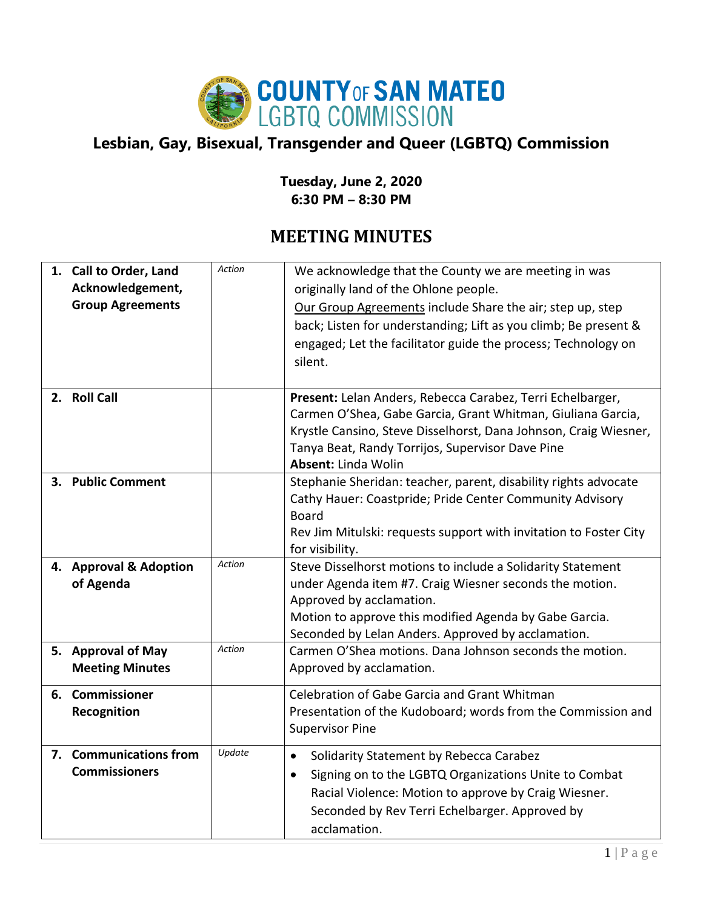

## **Lesbian, Gay, Bisexual, Transgender and Queer (LGBTQ) Commission**

## **Tuesday, June 2, 2020 6:30 PM – 8:30 PM**

## **MEETING MINUTES**

| 1. Call to Order, Land<br>Acknowledgement,<br><b>Group Agreements</b> | <b>Action</b> | We acknowledge that the County we are meeting in was<br>originally land of the Ohlone people.<br>Our Group Agreements include Share the air; step up, step<br>back; Listen for understanding; Lift as you climb; Be present &<br>engaged; Let the facilitator guide the process; Technology on<br>silent. |
|-----------------------------------------------------------------------|---------------|-----------------------------------------------------------------------------------------------------------------------------------------------------------------------------------------------------------------------------------------------------------------------------------------------------------|
| 2. Roll Call                                                          |               | Present: Lelan Anders, Rebecca Carabez, Terri Echelbarger,<br>Carmen O'Shea, Gabe Garcia, Grant Whitman, Giuliana Garcia,<br>Krystle Cansino, Steve Disselhorst, Dana Johnson, Craig Wiesner,<br>Tanya Beat, Randy Torrijos, Supervisor Dave Pine<br>Absent: Linda Wolin                                  |
| 3. Public Comment                                                     |               | Stephanie Sheridan: teacher, parent, disability rights advocate<br>Cathy Hauer: Coastpride; Pride Center Community Advisory<br><b>Board</b><br>Rev Jim Mitulski: requests support with invitation to Foster City<br>for visibility.                                                                       |
| 4. Approval & Adoption<br>of Agenda                                   | <b>Action</b> | Steve Disselhorst motions to include a Solidarity Statement<br>under Agenda item #7. Craig Wiesner seconds the motion.<br>Approved by acclamation.<br>Motion to approve this modified Agenda by Gabe Garcia.<br>Seconded by Lelan Anders. Approved by acclamation.                                        |
| 5. Approval of May<br><b>Meeting Minutes</b>                          | <b>Action</b> | Carmen O'Shea motions. Dana Johnson seconds the motion.<br>Approved by acclamation.                                                                                                                                                                                                                       |
| 6. Commissioner<br>Recognition                                        |               | Celebration of Gabe Garcia and Grant Whitman<br>Presentation of the Kudoboard; words from the Commission and<br><b>Supervisor Pine</b>                                                                                                                                                                    |
| 7. Communications from<br><b>Commissioners</b>                        | Update        | Solidarity Statement by Rebecca Carabez<br>$\bullet$<br>Signing on to the LGBTQ Organizations Unite to Combat<br>$\bullet$<br>Racial Violence: Motion to approve by Craig Wiesner.<br>Seconded by Rev Terri Echelbarger. Approved by<br>acclamation.                                                      |